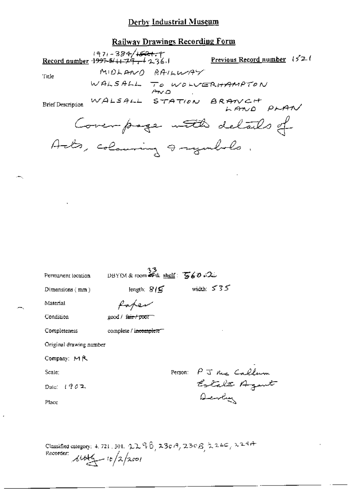## Derby Industrial Museum

## Railway Drawings Recording Form

 $(97) - 384/\sqrt{323}$ ; Record number 1997-5/11-79, 1236.1 Previous Record number 15<sup>7</sup>2 ( MIDLANO RAILWAY Title WALSALL TO WOLVERHAMPTON  $A \vee A$ Brief Description WALSALL STATION BRANCH LAND PLAN Coverpage with details of Acts, colouring a regularlo.

| Permanent location                                                              | DBYIM & room $\overline{\mathcal{B}}$ about : $\overline{\mathcal{B}}$ 60 $\Omega$ |                      |
|---------------------------------------------------------------------------------|------------------------------------------------------------------------------------|----------------------|
| Dimensions $(mn)$                                                               | length: $S/S$                                                                      | width: $535$         |
| Material                                                                        | faten                                                                              |                      |
| Condition                                                                       | good / fa <del>ir / po</del> or—                                                   |                      |
| Completeness                                                                    | complete / incomplete                                                              |                      |
| Original drawing number                                                         |                                                                                    |                      |
| Company: $M R$                                                                  |                                                                                    |                      |
| Scale;                                                                          |                                                                                    | Person: PJ me Callum |
| Date: $1902$                                                                    |                                                                                    |                      |
| Place                                                                           |                                                                                    | Devly                |
|                                                                                 |                                                                                    |                      |
|                                                                                 |                                                                                    |                      |
| Classified category: 4, 721, 301, $22.969$ , $230.9$ , $230.8$ , $226$ , $2247$ |                                                                                    |                      |

Recorder:  $\mathcal{U} \rightarrow \mathcal{U}$   $\rightarrow$   $\mathcal{U} \rightarrow \mathcal{U}$   $\rightarrow$   $\mathcal{U} \rightarrow \mathcal{U}$